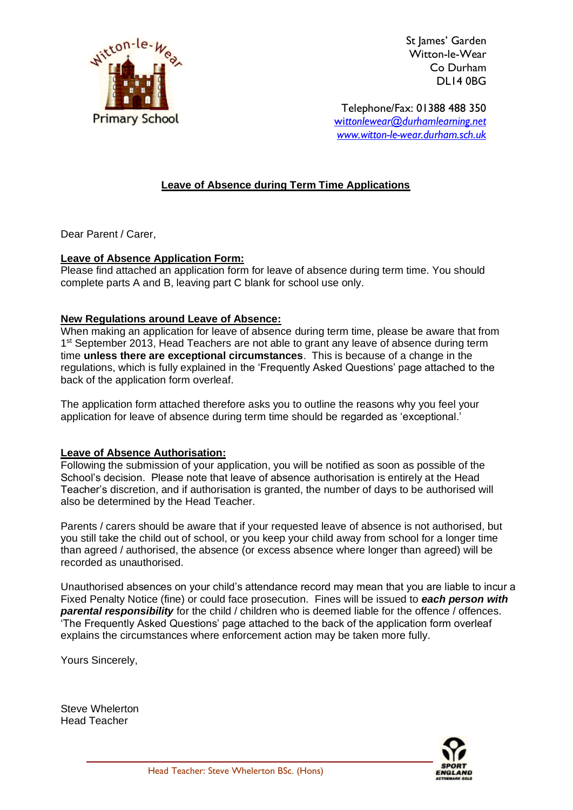

St lames' Garden Witton-le-Wear Co Durham DL14 0BG

Telephone/Fax: 01388 488 350 wi*[ttonlewear@durhamlearning.net](mailto:wittonlewear@durhamlearning.net) [www.witton-le-wear.durham.sch.uk](http://www.witton-le-wear.durham.sch.uk/)*

## **Leave of Absence during Term Time Applications**

Dear Parent / Carer,

## **Leave of Absence Application Form:**

Please find attached an application form for leave of absence during term time. You should complete parts A and B, leaving part C blank for school use only.

## **New Regulations around Leave of Absence:**

When making an application for leave of absence during term time, please be aware that from 1<sup>st</sup> September 2013, Head Teachers are not able to grant any leave of absence during term time **unless there are exceptional circumstances**. This is because of a change in the regulations, which is fully explained in the 'Frequently Asked Questions' page attached to the back of the application form overleaf.

The application form attached therefore asks you to outline the reasons why you feel your application for leave of absence during term time should be regarded as 'exceptional.'

## **Leave of Absence Authorisation:**

Following the submission of your application, you will be notified as soon as possible of the School's decision. Please note that leave of absence authorisation is entirely at the Head Teacher's discretion, and if authorisation is granted, the number of days to be authorised will also be determined by the Head Teacher.

Parents / carers should be aware that if your requested leave of absence is not authorised, but you still take the child out of school, or you keep your child away from school for a longer time than agreed / authorised, the absence (or excess absence where longer than agreed) will be recorded as unauthorised.

Unauthorised absences on your child's attendance record may mean that you are liable to incur a Fixed Penalty Notice (fine) or could face prosecution. Fines will be issued to *each person with*  **parental responsibility** for the child / children who is deemed liable for the offence / offences. 'The Frequently Asked Questions' page attached to the back of the application form overleaf explains the circumstances where enforcement action may be taken more fully.

Yours Sincerely,

Steve Whelerton Head Teacher